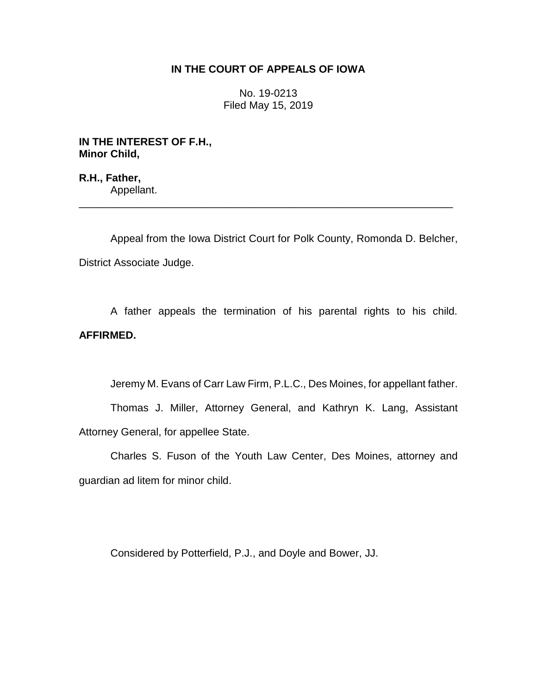## **IN THE COURT OF APPEALS OF IOWA**

No. 19-0213 Filed May 15, 2019

**IN THE INTEREST OF F.H., Minor Child,**

**R.H., Father,** Appellant.

Appeal from the Iowa District Court for Polk County, Romonda D. Belcher, District Associate Judge.

\_\_\_\_\_\_\_\_\_\_\_\_\_\_\_\_\_\_\_\_\_\_\_\_\_\_\_\_\_\_\_\_\_\_\_\_\_\_\_\_\_\_\_\_\_\_\_\_\_\_\_\_\_\_\_\_\_\_\_\_\_\_\_\_

A father appeals the termination of his parental rights to his child. **AFFIRMED.**

Jeremy M. Evans of Carr Law Firm, P.L.C., Des Moines, for appellant father.

Thomas J. Miller, Attorney General, and Kathryn K. Lang, Assistant Attorney General, for appellee State.

Charles S. Fuson of the Youth Law Center, Des Moines, attorney and guardian ad litem for minor child.

Considered by Potterfield, P.J., and Doyle and Bower, JJ.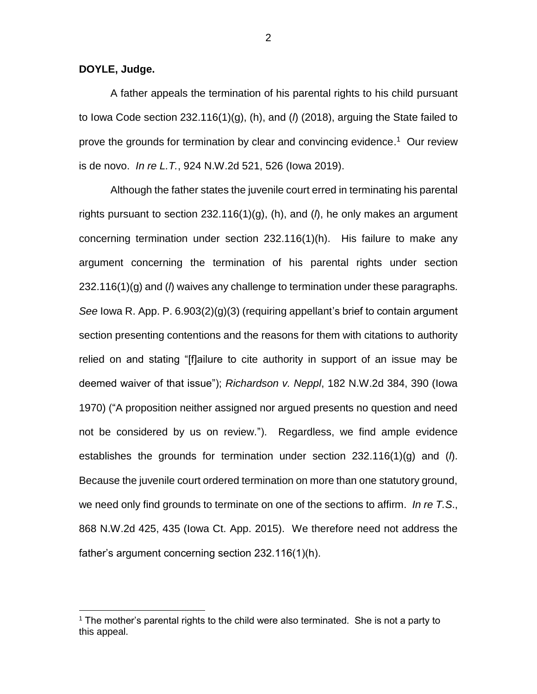**DOYLE, Judge.**

 $\overline{a}$ 

A father appeals the termination of his parental rights to his child pursuant to Iowa Code section 232.116(1)(g), (h), and (*l*) (2018), arguing the State failed to prove the grounds for termination by clear and convincing evidence.<sup>1</sup> Our review is de novo. *In re L.T.*, 924 N.W.2d 521, 526 (Iowa 2019).

Although the father states the juvenile court erred in terminating his parental rights pursuant to section 232.116(1)(g), (h), and (*l*), he only makes an argument concerning termination under section 232.116(1)(h). His failure to make any argument concerning the termination of his parental rights under section 232.116(1)(g) and (*l*) waives any challenge to termination under these paragraphs. *See* Iowa R. App. P. 6.903(2)(g)(3) (requiring appellant's brief to contain argument section presenting contentions and the reasons for them with citations to authority relied on and stating "[f]ailure to cite authority in support of an issue may be deemed waiver of that issue"); *Richardson v. Neppl*, 182 N.W.2d 384, 390 (Iowa 1970) ("A proposition neither assigned nor argued presents no question and need not be considered by us on review."). Regardless, we find ample evidence establishes the grounds for termination under section 232.116(1)(g) and (*l*). Because the juvenile court ordered termination on more than one statutory ground, we need only find grounds to terminate on one of the sections to affirm. *In re T.S*., 868 N.W.2d 425, 435 (Iowa Ct. App. 2015). We therefore need not address the father's argument concerning section 232.116(1)(h).

 $1$  The mother's parental rights to the child were also terminated. She is not a party to this appeal.